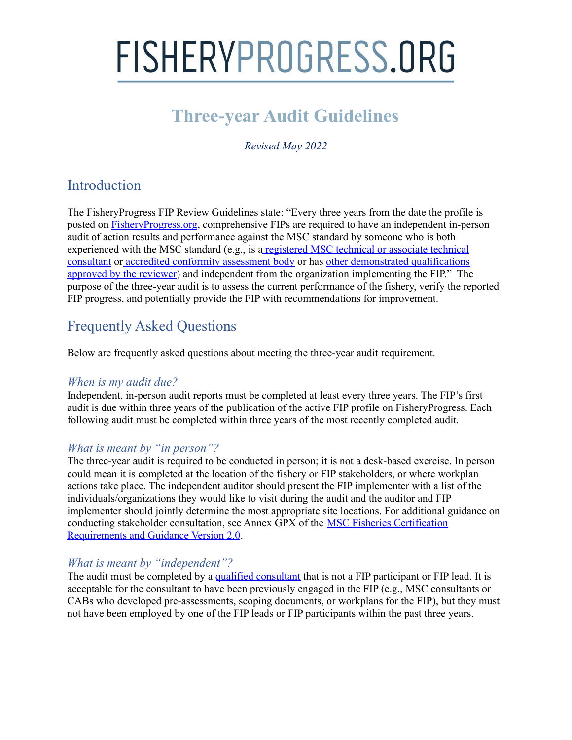### **Three-year Audit Guidelines**

*Revised May 2022*

### **Introduction**

The FisheryProgress FIP Review Guidelines state: "Every three years from the date the profile is posted on [FisheryProgress.org](http://fisheryprogress.org/), comprehensive FIPs are required to have an independent in-person audit of action results and performance against the MSC standard by someone who is both experienced with the MSC standard (e.g., is a [registered](http://www.msc.org/get-certified/fisheries/technical-assistance/consultants/consultants) MSC technical or associate technical [consultant](http://www.msc.org/get-certified/fisheries/technical-assistance/consultants/consultants) or accredited [conformity](http://www.accreditation-services.com/archives/standards/msc) assessment body or has other demonstrated [qualifications](https://fisheryprogress.org/resources/comprehensive-consultant-fip-criteria) [approved](https://fisheryprogress.org/resources/comprehensive-consultant-fip-criteria) by the reviewer) and independent from the organization implementing the FIP." The purpose of the three-year audit is to assess the current performance of the fishery, verify the reported FIP progress, and potentially provide the FIP with recommendations for improvement.

### Frequently Asked Questions

Below are frequently asked questions about meeting the three-year audit requirement.

#### *When is my audit due?*

Independent, in-person audit reports must be completed at least every three years. The FIP's first audit is due within three years of the publication of the active FIP profile on FisheryProgress. Each following audit must be completed within three years of the most recently completed audit.

#### *What is meant by "in person"?*

The three-year audit is required to be conducted in person; it is not a desk-based exercise. In person could mean it is completed at the location of the fishery or FIP stakeholders, or where workplan actions take place. The independent auditor should present the FIP implementer with a list of the individuals/organizations they would like to visit during the audit and the auditor and FIP implementer should jointly determine the most appropriate site locations. For additional guidance on conducting stakeholder consultation, see Annex GPX of the MSC Fisheries [Certification](https://www.msc.org/docs/default-source/default-document-library/for-business/program-documents/fisheries-program-documents/msc_fisheries_certification_requirements_and_guidance_v2-0.pdf) [Requirements](https://www.msc.org/docs/default-source/default-document-library/for-business/program-documents/fisheries-program-documents/msc_fisheries_certification_requirements_and_guidance_v2-0.pdf) and Guidance Version 2.0.

#### *What is meant by "independent"?*

The audit must be completed by a qualified [consultant](https://fisheryprogress.org/resources-fips/find-qualified-consultant) that is not a FIP participant or FIP lead. It is acceptable for the consultant to have been previously engaged in the FIP (e.g., MSC consultants or CABs who developed pre-assessments, scoping documents, or workplans for the FIP), but they must not have been employed by one of the FIP leads or FIP participants within the past three years.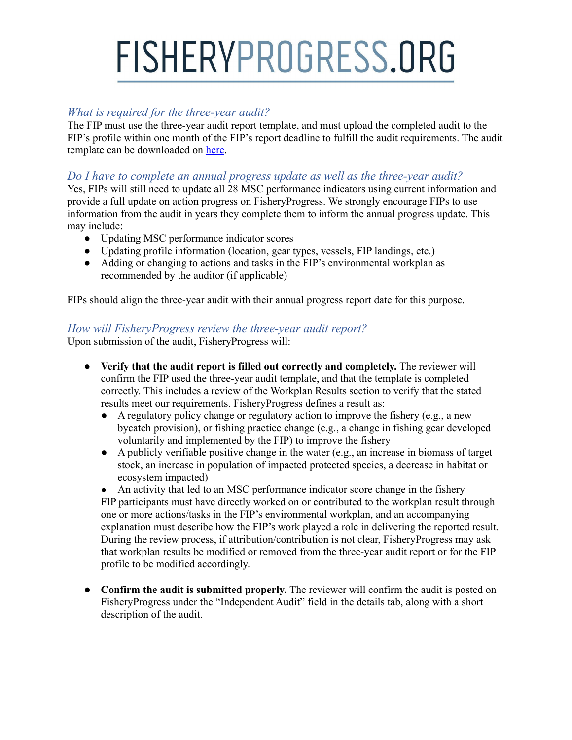#### *What is required for the three-year audit?*

The FIP must use the three-year audit report template, and must upload the completed audit to the FIP's profile within one month of the FIP's report deadline to fulfill the audit requirements. The audit template can be downloaded on [here](https://fisheryprogress.org/resources-fips/three-year-audits-comprehensive-fips).

#### *Do I have to complete an annual progress update as well as the three-year audit?*

Yes, FIPs will still need to update all 28 MSC performance indicators using current information and provide a full update on action progress on FisheryProgress. We strongly encourage FIPs to use information from the audit in years they complete them to inform the annual progress update. This may include:

- Updating MSC performance indicator scores
- Updating profile information (location, gear types, vessels, FIP landings, etc.)
- Adding or changing to actions and tasks in the FIP's environmental workplan as recommended by the auditor (if applicable)

FIPs should align the three-year audit with their annual progress report date for this purpose.

#### *How will FisheryProgress review the three-year audit report?*

Upon submission of the audit, FisheryProgress will:

- **Verify that the audit report is filled out correctly and completely.** The reviewer will confirm the FIP used the three-year audit template, and that the template is completed correctly. This includes a review of the Workplan Results section to verify that the stated results meet our requirements. FisheryProgress defines a result as:
	- A regulatory policy change or regulatory action to improve the fishery (e.g., a new bycatch provision), or fishing practice change (e.g., a change in fishing gear developed voluntarily and implemented by the FIP) to improve the fishery
	- A publicly verifiable positive change in the water (e.g., an increase in biomass of target stock, an increase in population of impacted protected species, a decrease in habitat or ecosystem impacted)

• An activity that led to an MSC performance indicator score change in the fishery FIP participants must have directly worked on or contributed to the workplan result through one or more actions/tasks in the FIP's environmental workplan, and an accompanying explanation must describe how the FIP's work played a role in delivering the reported result. During the review process, if attribution/contribution is not clear, FisheryProgress may ask that workplan results be modified or removed from the three-year audit report or for the FIP profile to be modified accordingly.

● **Confirm the audit is submitted properly.** The reviewer will confirm the audit is posted on FisheryProgress under the "Independent Audit" field in the details tab, along with a short description of the audit.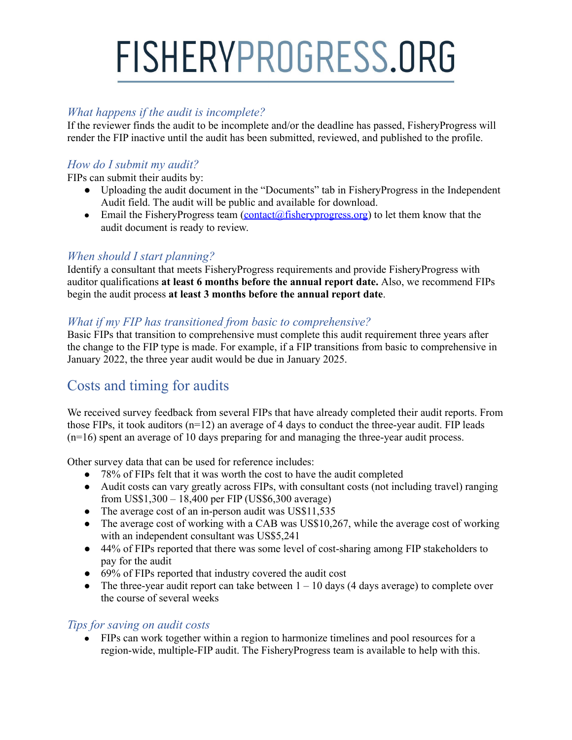#### *What happens if the audit is incomplete?*

If the reviewer finds the audit to be incomplete and/or the deadline has passed, FisheryProgress will render the FIP inactive until the audit has been submitted, reviewed, and published to the profile.

#### *How do I submit my audit?*

FIPs can submit their audits by:

- Uploading the audit document in the "Documents" tab in FisheryProgress in the Independent Audit field. The audit will be public and available for download.
- Email the FisheryProgress team  $(contact@fishervprogress.org)$  to let them know that the audit document is ready to review.

#### *When should I start planning?*

Identify a consultant that meets FisheryProgress requirements and provide FisheryProgress with auditor qualifications **at least 6 months before the annual report date.** Also, we recommend FIPs begin the audit process **at least 3 months before the annual report date**.

#### *What if my FIP has transitioned from basic to comprehensive?*

Basic FIPs that transition to comprehensive must complete this audit requirement three years after the change to the FIP type is made. For example, if a FIP transitions from basic to comprehensive in January 2022, the three year audit would be due in January 2025.

### Costs and timing for audits

We received survey feedback from several FIPs that have already completed their audit reports. From those FIPs, it took auditors (n=12) an average of 4 days to conduct the three-year audit. FIP leads (n=16) spent an average of 10 days preparing for and managing the three-year audit process.

Other survey data that can be used for reference includes:

- 78% of FIPs felt that it was worth the cost to have the audit completed
- Audit costs can vary greatly across FIPs, with consultant costs (not including travel) ranging from US\$1,300 – 18,400 per FIP (US\$6,300 average)
- The average cost of an in-person audit was US\$11,535
- The average cost of working with a CAB was US\$10,267, while the average cost of working with an independent consultant was US\$5,241
- 44% of FIPs reported that there was some level of cost-sharing among FIP stakeholders to pay for the audit
- 69% of FIPs reported that industry covered the audit cost
- The three-year audit report can take between  $1 10$  days (4 days average) to complete over the course of several weeks

#### *Tips for saving on audit costs*

● FIPs can work together within a region to harmonize timelines and pool resources for a region-wide, multiple-FIP audit. The FisheryProgress team is available to help with this.